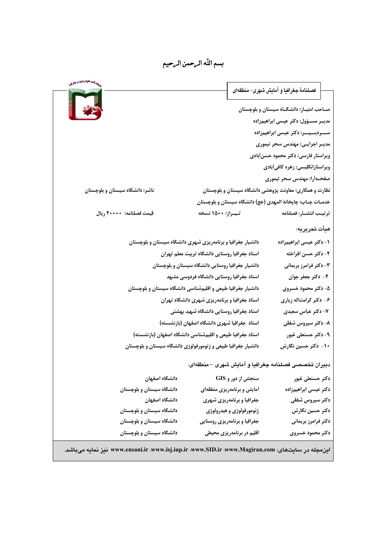# بسم اللّه الرحمن الرحيم

|                                 |                                                                | فصلنامهٔ جغرافیا و آمایش شهری– منطقهای                        |               |  |
|---------------------------------|----------------------------------------------------------------|---------------------------------------------------------------|---------------|--|
| 25                              |                                                                | صـاحب امتیـاز: دانشگـاه سیستان و بلوچستان                     |               |  |
|                                 |                                                                | مدیـر مسـؤول: دکتر عیسی ابراهیمزاده                           |               |  |
|                                 |                                                                | ســـردبـــیـــر: دکتر عیسی ابراهیمزاده                        |               |  |
|                                 |                                                                | مدیـر اجرایـی: مهندس سحر تیموری                               |               |  |
|                                 |                                                                | ویراستار فارسی: دکتر محمود حسنأبادی                           |               |  |
|                                 |                                                                | ویراستارانگلیسی: زهره کافیآبادی                               |               |  |
|                                 |                                                                | صفحـهأرا: مهندس سحر تيموري                                    |               |  |
| ناشر: دانشگاه سیستان و بلوچستان |                                                                | نظارت و همکاری: معاونت پژوهشی دانشگاه سیستان و بلوچستان       |               |  |
|                                 |                                                                | خدمــات چــاپ: چاپخانهٔ المهدی (عج) دانشگاه سیستان و بلوچستان |               |  |
| قيمت فصلنامه: ٢٠٠٠٠ ريال        | تيـراژ: ۱۵۰۰ نسخه                                              | ترتيب انتشـار: فصلنامه                                        |               |  |
|                                 |                                                                |                                                               | هيأت تحريريه: |  |
|                                 | دانشیار جغرافیا و برنامهریزی شهری دانشگاه سیستان و بلوچستان    | ۱- دکتر عیسی ابراهیمزاده                                      |               |  |
|                                 | استاد جغرافيا روستايي دانشگاه تربيت معلم تهران                 | ٢- دكتر حسن افراخته                                           |               |  |
|                                 | دانشیار جغرافیا روستایی دانشگاه سیستان و بلوچستان              | ۳- دکتر فرامرز بریمانی                                        |               |  |
|                                 | استاد جغرافیا روستایی دانشگاه فردوسی مشهد                      | ۴- دکتر جعفر جوان                                             |               |  |
|                                 | دانشیار جغرافیا طبیعی و اقلیمشناسی دانشگاه سیستان و بلوچستان   | ۵- دکتر محمود خسروی                                           |               |  |
|                                 | استاد جغرافیا و برنامهریزی شهری دانشگاه تهران                  | ۶- دکتر کرامتاله زیاری                                        |               |  |
|                                 | استاد جغرافيا روستايي دانشگاه شهيد بهشتي                       | ۷- دکتر عباس سعیدی                                            |               |  |
|                                 | استاد جغرافیا شهری دانشگاه اصفهان (بازنشسته)                   | ۸- دکتر سیروس شفقی                                            |               |  |
|                                 | استاد جغرافیا طبیعی و اقلیمشناسی دانشگاه اصفهان (بازنشسته)     | ۹- دکتر حسنعلی غیور                                           |               |  |
|                                 | دانشیار جغرافیا طبیعی و ژئومورفولوژی دانشگاه سیستان و بلوچستان | ۱۰- دکتر حسین نگارش                                           |               |  |
|                                 |                                                                | دبیران تخصصی فصلنامه جغرافیا و آمایش شهری –منطقهای:           |               |  |
| دانشگاه اصفهان                  |                                                                | سنجش از دور و GIS<br>دكتر حسنعلى غيور                         |               |  |
| دانشگاه سیستان و بلوچستان       | أمايش و برنامهريزي منطقهاي                                     | دكتر عيسى ابراهيمزاده                                         |               |  |
| دانشگاه اصفهان                  | جغرافیا و برنامهریزی شهری                                      | دكتر سيروس شفقى                                               |               |  |
| دانشگاه سیستان و بلوچستان       |                                                                | ژئومورفولوژی و هیدرولوژی<br>دكتر حسين نگارش                   |               |  |
| دانشگاه سیستان و بلوچستان       | جغرافیا و برنامهریزی روستایی                                   | دکتر فرامرز بریمانی                                           |               |  |
| دانشگاه سیستان و بلوچستان       |                                                                | دكتر محمود خسروى<br>اقلیم در برنامهریزی محیطی                 |               |  |
|                                 |                                                                |                                                               |               |  |

| این مجله در سایتهای: www.ensani.ir ،www.isj.iup.ir ،www.SID.ir ،www.Magiran.com نیز نمایه میباشد.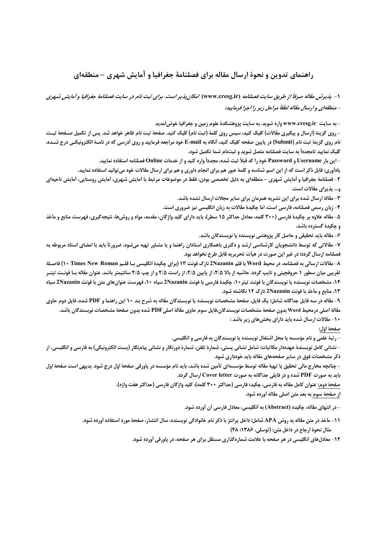### راهنمای تدوین و نحوهٔ ارسال مقاله برای فصلنامهٔ جغرافیا و آمایش شهری –منطقهای

۱- پذیرش مقاله صرفاً از طریق سایت فصلنامه (www.cresg.ir) امکان پذیر است. برای ثبت نام در سایت فصلنامهٔ جغرافیا و آمایش شهری - منطقهای و ارسال مقاله لطفاً مراحل زیر را اجرا فرمایید:

- به سایت www.cresg.ir وارد شوید. به سایت پژوهشکدهٔ علوم زمین و جغرافیا خوش[مدید

- روی گزینهٔ (ارسال و پیگیری مقالات) کلیک کنید، سپس روی کلمهٔ (ثبت نام) کلیک کنید. صفحهٔ ثبت نام ظاهر خواهد شد. پس از تکمیل صـفحهٔ ثبـت نام روی گزینهٔ ثبت نام (Submit) در پایین صفحه کلیک کنید، آنگاه به E-mail خود مراجعه فرمایید و روی آدرسی که در نامـهٔ الکترونیکـی درج شــده، كليك نماييد تامجدداً به سايت فصلنامه متصل شويد و ثبتنام شما تكميل شود.

- این بار Username و Password خود را که قبلاً ثبت شده، مجدداً وارد کنید و از خدمات Online فصلنامه استفاده نمایید.

یادآوری: قابل ذکر است که از این اسم شناسه و کلمهٔ عبور هم برای انجام داوری و هم برای ارسال مقالات خود میتوانید استفاده نمایید. ۲- فصلنامهٔ جغرافیا و آمایش شهری – منطقهای به دلیل تخصصی بودن، فقط در موضوعات مرتبط با آمایش شهری، آمایش روستایی، آمایش ناحیهای و... پذیرای مقالات است.

۳- مقالهٔ ارسال شده برای این نشریه همزمان برای سایر مجلات ارسال نشده باشد.

۴- زبان رسمی فصلنامه، فارسی است، امّا چکیدهٔ مقالات به زبان انگلیسی نیز ضروری است.

۵- مقاله علاوه بر چکیدهٔ فارسی (۳۰۰ کلمه، معادل حداکثر ۱۵ سطر)، باید دارای کلید واژگان، مقدمه، مواد و روش۵ا، نتیجهگیری، فهرست منابع و مأخذ و چکیدهٔ گسترده باشد.

۶- مقاله باید تحقیقی و حاصل کار پژوهشی نویسنده یا نویسندگان باشد.

۷- مقالاتی که توسط دانشجویان کارشناسی ارشد و دکتری باهمکاری استادان راهنما و یا مشاور تهیه میشود، ضرورتأ باید با امضای استاد مربوطه به فصلنامه ارسال گردد؛ در غیر این صورت در هیأت تحریریه قابل طرح نخواهد بود.

٨- مقالات ارسالي به فصلنامه، در محيط Word با قلم 2Nazanin نازك فونت ١٣ (براي چكيدة انگليسي بـا قلـم Times New Roman (1) فاصـلة تقریبی میان سطور ۱ حروفچینی و تایپ گردد. حاشیه از بالا ۲/۵، از پایین ۲/۵، از راست ۲/۵ و از چپ ۲/۵ سانتیمتر باشد. عنوان مقاله بـا فونـت تیتـر ۰۱۴، مشخصات نویسنده یا نویسندگان با فونت تیتر ۱۰، چکیدهٔ فارسی با فونت 2Nazanin سیاه ۱۰، فهرست عنوانهای متن با فونت 2Nazanin سیاه ۰۱۳، منابع و مأخذ با فونت 2Nazanin نازك ۱۲ نگاشته شود.

۹- مقاله در سه فایل جداگانه شامل؛ یک فایل، صفحهٔ مشخصات نویسنده یا نویسندگان مقاله به شرح بند ۱۰+ این راهنما و PDF شده، فایل دوم حاوی مقالة اصلى درمحيط Word بدون صفحة مشخصات نويسندگان،فايل سوم حاوى مقالة اصلىPDF شده بدون صفحة مشخصات نويسندگان باشد. ۱۰- مقالات ارسال شده باید دارای بخش های زیر باشد :

صفحة اوّل:

- رتبهٔ علمی و نام مؤسسه یا محل اشتغال نویسنده یا نویسندگان به فارسی و انگلیسی.

- نشاني كامل نويسندهٔ عهدهدار مكاتبات: شامل نشاني پستي، شمارهٔ تلفن، شمارهٔ دورنگار و نشاني پيامنگار (پست الكترونيكي) به فارسي و انگليسي، از ذکر مشخصات فوق در سایر صفحههای مقاله باید خودداری شود.

- چنانچه مخارج مالی تحقیق یا تهیهٔ مقاله توسط مؤسسهای تأمین شده باشد، باید نام مؤسسه در پاورقی صفحهٔ اوّل درج شود. بدیهی است صفحهٔ اوّل باید به صورت PDF شده و در فایلی جداگانه به صورت Cover letter ارسال گردد.

صفحهٔ دوم: عنوان کامل مقاله به فارسی، چکیدهٔ فارسی (حداکثر ۳۰۰ کلمه)، کلید واژگان فارسی (حداکثر هفت واژه).

از صفحهٔ سوم به بعد متن اصلی مقاله آورده شود.

- در انتهای مقاله، چکیده (Abstract) به انگلیسی، معادل فارسی آن آورده شود.

11- مأخذ در متن مقاله به روش APA شامل؛ داخل پرانتز با ذکر نام خانوادگی نویسنده، سال انتشار، صفحهٔ مورد استفاده أورده شود. مثال نحوة ارجاع در داخل متن: (توسّلي، ١٣٨۶: ۴۸)

۱۲- معادلهای انگلیسی در هر صفحه با علامت شمارهگذاری مستقل برای هر صفحه، در پاورقی اَورده شود.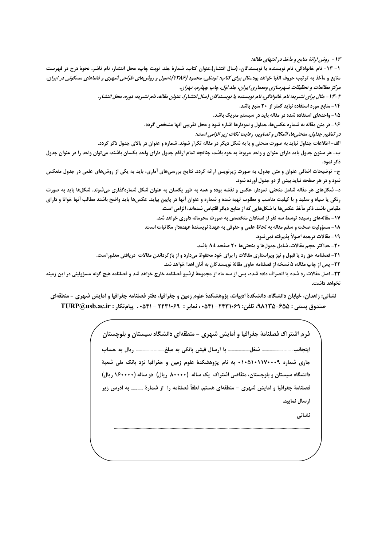۱۳ - روش ارائهٔ منابع و ماخذ در انتبهای مقاله:

١- ١٣- نام خانوادگي، نام نويسنده يا نويسندگان، (سال انتشار).عنوان كتاب. شمارهٔ جلد. نوبت چاپ، محل انتشار، نام ناشر. نحوهٔ درج در فهرست منابع و مأخذ به ترتیب حروف الفبا خواهد بود.*مثال برای کتاب: توسّلی، محمود (۱۳۸۶).اصول و روشهای طراحی شهری و فضاهای مسکونی در ایران،* مرکز مطالعات و تحقیقات شهرسازی ومعماری ایران، جلد اوّل، چاپ چهارم، تهران.

۴-۱۳ - مثال برای نشىريە: نام خانوادگی، نام نويسنده يا نويسندگان (سال انتشار). عنوان مقاله، نام نشىريە، دورە، محل انتشار.

**۱۴ - منابع مورد استفاده نباید کمتر از ۲۰ منبع باشد.** 

۱۵- واحدهای استفاده شده در مقاله باید در سیستم متریک باشد.

۱۶- در متن مقاله به شماره عکس ها، جداول و نمودارها اشاره شود و محل تقریبی أنها مشخص گردد.

در تنظیم جداول، منحنیها، اشکال و تصاویر، رعایت نکات زیر الزامی است:

الف-اطلاعات جداول نباید به صورت منحنی و یا به شکل دیگر در مقاله تکرار شوند. شماره و عنوان در بالای جدول ذکر گردد.

ب- هر ستون جدول بايد داراي عنوان و واحد مربوط به خود باشد، چنانچه تمام ارقام جدول داراي واحد يكسان باشند، مي توان واحد را در عنوان جدول ذكر نمود.

ج- توضیحات اضافی عنوان و متن جدول، به صورت زیرنویس ارائه گردد. نتایج بررسیهای آماری، باید به یکی از روش@ای علمی در جدول منعکس شود و در هر صفحه نباید بیش از دو جدول آورده شود.

د- شکلهای هر مقاله شامل منحنی، نمودار، عکس و نقشه بوده و همه به طور یکسان به عنوان شکل شمارهگذاری میشوند. شکلها باید به صورت رنگی یا سیاه و سفید و با کیفیت مناسب و مطلوب تهیه شده و شماره و عنوان آنها در پایین بیاید. عکس@ باید واضح باشند مطالب آنها خوانا و دارای مقیاس باشد. ذکر مأخذ عکسها یا شکلهایی که از منابع دیگر اقتباس شدهاند، الزامی است.

17 – مقالههای رسیده توسط سه نفر از استادان متخصص به صورت محرمانه داوری خواهد شد.

١٨- مسؤوليت صحّت و سقم مقاله به لحاظ علمي و حقوقي به عهدة نويسندة عهدهدار مكاتبات است.

19- مقالات ترجمه اصولاً يذيرفته نمي شود.

**20- حداكثر حجم مقالات، شامل جدولها و منحني ها 200 صفحه 44 باشد.** 

21- فصلنامه حق رد یا قبول و نیز ویراستاری مقالات را برای خود محفوظ میدارد و از بازگرداندن مقالات دریافتی معذوراست.

٢٢- پس از چاپ مقاله، ۵ نسخه از فصلنامه حاوی مقالهٔ نویسندگان به أنان اهدا خواهد شد.

٢٣- اصل مقالات رد شده يا انصراف داده شده، پس از سه ماه از مجموعهٔ اَرشيو فصلنامه خارج خواهد شد و فصلنامه هيچ گونه مسؤوليتي در اين زمينه نخواهد داشت.

نشانی: زاهدان، خیابان دانشگاه، دانشکدهٔ ادبیات، پژوهشکدهٔ علوم زمین و جغرافیا، دفتر فصلنامه جغرافیا و آمایش شهری – منطقهای صندوق يستي : A۸۱۳۵–۶۵۱۲۵ تلفن: ۱٬۵۴۱۰۶۹- ۰۵۴۱ نماير : ۱٬۵۴۱۰۶۹ - ۰۵۴۱ ، پيامنگار : TURP@usb.ac.ir

> فرم اشتراک فصلنامهٔ جغرافیا و آمایش شهری - منطقهای دانشگاه سیستان و بلوچستان جاری شماره ۰۱۹۰۰۱۱۷۰۰۰۹ به نام پژوهشکدهٔ علوم زمین و جغرافیا نزد بانک ملی شعبهٔ دانشگاه سیستان و بلوچستان، متقاضی اشتراک یک ساله (۸۰۰۰۰ ریال) دو ساله (۱۶۰۰۰۰ ریال) فصلنامهٔ جغرافیا و آمایش شهری - منطقهای هستم. لطفاً فصلنامه را از شمارهٔ ………… به آدرس زیر ارسال نماييد. نشانی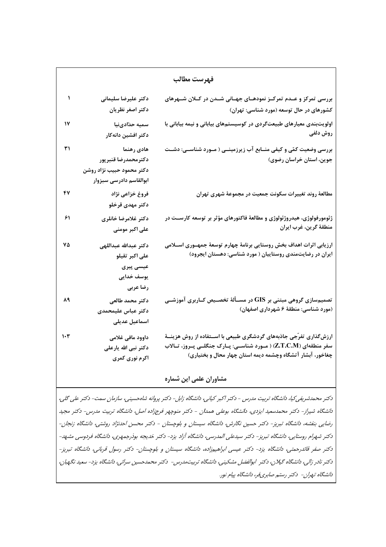| فهرست مطالب |                                                                                           |                                                                                                                                                                                                             |  |
|-------------|-------------------------------------------------------------------------------------------|-------------------------------------------------------------------------------------------------------------------------------------------------------------------------------------------------------------|--|
| ١           | دكتر عليرضا سليمانى<br>دكتر اصغر نظريان                                                   | بررسی تمرکز و عــدم تمرکــز نمودهــای جهــانی شــدن در کــلان شــهرهای<br>کشورهای در حال توسعه (مورد شناسی: تهران)                                                                                          |  |
| ۱۷          | سميه حدّادىنيا<br>دكتر افشين دانهكار                                                      | اولویتبندی معیارهای طبیعتگردی در کوسیستمهای بیابانی و نیمه بیابانی با<br>روش دلفی                                                                                                                           |  |
| ۳۱          | هادى رهنما<br>دكترمحمدرضا قنبرپور<br>دكتر محمود حبيب نژاد روشن<br>ابوالقاسم دادرسى سبزوار | بررسی وضعیت کمّی و کیفی منــابع آب زیرزمینــی ( مــورد شناســی: دشــت<br>جوین، استان خراسان رضوی)                                                                                                           |  |
| ۴۷          | فروغ خزاعى نژاد<br>دكتر مهدى قرخلو                                                        | مطالعهٔ روند تغییرات سکونت جمعیت در مجموعهٔ شهری تهران                                                                                                                                                      |  |
| ۶۱          | دكتر غلامرضا خانلرى<br>على اكبر مومنى                                                     | ژئومورفولوژی، هیدروژئولوژی و مطالعهٔ فاکتورهای مؤثر بر توسعه کارســت در<br>منطقهٔ گرین، غرب ایران                                                                                                           |  |
| ٧۵          | دكتر عبدالله عبداللهى<br>على اكبر تقيلو<br>عیسی پیری<br>یوسف خدایی<br>رضا عربى            | ارزیابی اثرات اهداف بخش روستایی برنامهٔ چهارم توسعهٔ جمهــوری اســـلامی<br>ایران در رضایتمندی روستاییان ( مورد شناسی: دهستان ایجرود)                                                                        |  |
| 88          | دكتر محمد طالعى<br>دكتر عباس عليمحمدى<br>اسماعيل عديلى                                    | تصمیمسازی گروهی مبتنی بر GIS در مســألهٔ تخصــیص کــاربری آموزشــی<br>(مورد شناسی: منطقهٔ ۶ شهرداری اصفهان)                                                                                                 |  |
| ۱۰۳         | داوود مافی غلامی<br>دکتر نبی الله یارعلی<br>اکرم نوری کمری                                | ارزشگذاری تفرّجی جاذبههای گردشگری طبیعی با اســتفاده از روش هزینــهٔ<br>سفر منطقهای (Z.T.C.M) ( مـورد شناســی: پــارک جنگلــی پــروز، تــالاب<br>چغاخور، آبشار آتشگاه وچشمه دیمه استان چهار محال و بختیاری) |  |

#### مشاوران علمی این شماره

دکتر محمدشریفی کیا، دانشگاه تربیت مدرس - دکتر اکبر کیانی، دانشگاه زابل- دکتر پروانه شاهحسینی، سازمان سمت- دکتر علی گلی، دانشگاه شیراز- دکتر محمدسعید ایزدی، دانشگاه بوعلی همدان - دکتر منوچهر فرجزاده اصل، دانشگاه تربیت مدرس- دکتر مجید رضایی بنفشه، دانشگاه تبریز- دکتر حسین نگارش، دانشگاه سیستان و بلوچستان - دکتر محسن احدنژاد روشتی، دانشگاه زنجان-دکتر شهرام روستایی، دانشگاه تبریز- دکتر سیدعلی المدرسی، دانشگاه آزاد یزد- دکتر خدیجه بوذرجمهری، دانشگاه فردوسی مشهد-دکتر صفر قائدرحمتی، دانشگاه یزد- دکتر عیسی ابراهیمزاده، دانشگاه سیستان و بلوچستان- دکتر رسول قربانی، دانشگاه تبریز-دکتر نادر زالی، دانشگاه گیلان، دکتر ابوالفضل مشکینی، دانشگاه تربیتمدرس- دکتر محمدحسین سرائی، دانشگاه یزد- سعید نگهبان، دانشگاه تهران- دکتر رستم صابریفر، دانشگاه پیام نور.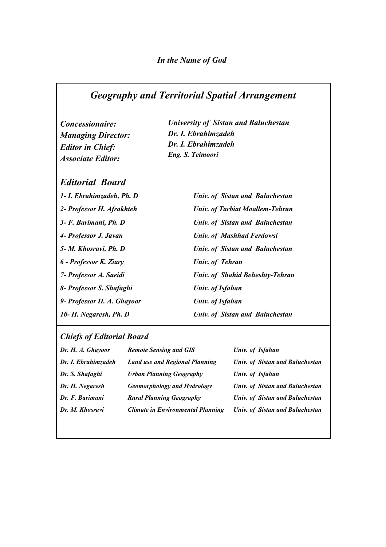### *Geography and Territorial Spatial Arrangement*

*Concessionaire: Managing Director: Editor in Chief: Associate Editor:*

*University of Sistan and Baluchestan Dr. I. Ebrahimzadeh Dr. I. Ebrahimzadeh Eng. S. Teimoori* 

#### *Editorial Board*

*1- I. Ebrahimzadeh, Ph. D 2- Professor H. Afrakhteh 3- F. Barimani, Ph. D 4- Professor J. Javan 5- M. Khosravi, Ph. D 6 - Professor K. Ziary 7- Professor A. Saeidi 8- Professor S. Shafaghi 9- Professor H. A. Ghayoor 10- H. Negaresh, Ph. D* 

*Univ. of Sistan and Baluchestan Univ. of Tarbiat Moallem-Tehran Univ. of Sistan and Baluchestan Univ. of Mashhad Ferdowsi Univ. of Sistan and Baluchestan Univ. of Tehran Univ. of Shahid Beheshty-Tehran Univ. of Isfahan Univ. of Isfahan Univ. of Sistan and Baluchestan* 

### *Chiefs of Editorial Board*

| Dr. H. A. Ghayoor   | <b>Remote Sensing and GIS</b>            | Univ. of Isfahan                       |
|---------------------|------------------------------------------|----------------------------------------|
| Dr. I. Ebrahimzadeh | <b>Land use and Regional Planning</b>    | <b>Univ. of Sistan and Baluchestan</b> |
| Dr. S. Shafaghi     | <b>Urban Planning Geography</b>          | Univ. of Isfahan                       |
| Dr. H. Negaresh     | <b>Geomorphology and Hydrology</b>       | <b>Univ. of Sistan and Baluchestan</b> |
| Dr. F. Barimani     | <b>Rural Planning Geography</b>          | Univ. of Sistan and Baluchestan        |
| Dr. M. Khosravi     | <b>Climate in Environmental Planning</b> | Univ. of Sistan and Baluchestan        |
|                     |                                          |                                        |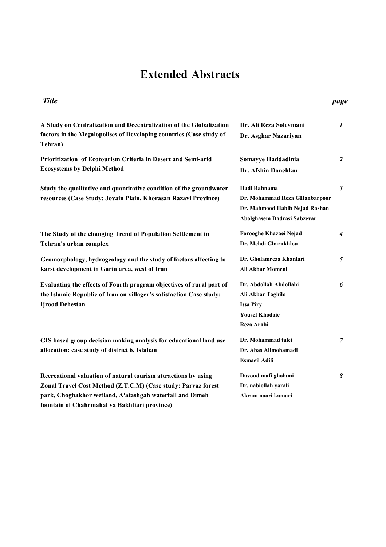## **Extended Abstracts**

#### **A Study on Centralization and Decentralization of the Globalization factors in the Megalopolises of Developing countries (Case study of Tehran) Dr. Ali Reza Soleymani Dr. Asghar Nazariyan**  *1* **Prioritization of Ecotourism Criteria in Desert and Semi-arid Ecosystems by Delphi Method Somayye Haddadinia Dr. Afshin Danehkar**  *2* **Study the qualitative and quantitative condition of the groundwater resources (Case Study: Jovain Plain, Khorasan Razavi Province) Hadi Rahnama Dr. Mohammad Reza GHanbarpoor Dr. Mahmood Habib Nejad Roshan Abolghasem Dadrasi Sabzevar**  *3* **The Study of the changing Trend of Population Settlement in Tehran's urban complex Forooghe Khazaei Nejad Dr. Mehdi Gharakhlou** *4* **Geomorphology, hydrogeology and the study of factors affecting to karst development in Garin area, west of Iran Dr. Gholamreza Khanlari Ali Akbar Momeni**  *5* **Evaluating the effects of Fourth program objectives of rural part of the Islamic Republic of Iran on villager's satisfaction Case study: Ijrood Dehestan Dr. Abdollah Abdollahi Ali Akbar Taghilo Issa Piry Yousef Khodaie Reza Arabi**  *6* **GIS based group decision making analysis for educational land use allocation: case study of district 6, Isfahan Dr. Mohammad talei Dr. Abas Alimohamadi**  *7 Title page*

**Esmaeil Adili** 

**Davoud mafi gholami Dr. nabiollah yarali Akram noori kamari** 

**Recreational valuation of natural tourism attractions by using Zonal Travel Cost Method (Z.T.C.M) (Case study: Parvaz forest park, Choghakhor wetland, A'atashgah waterfall and Dimeh fountain of Chahrmahal va Bakhtiari province)** 

*8*